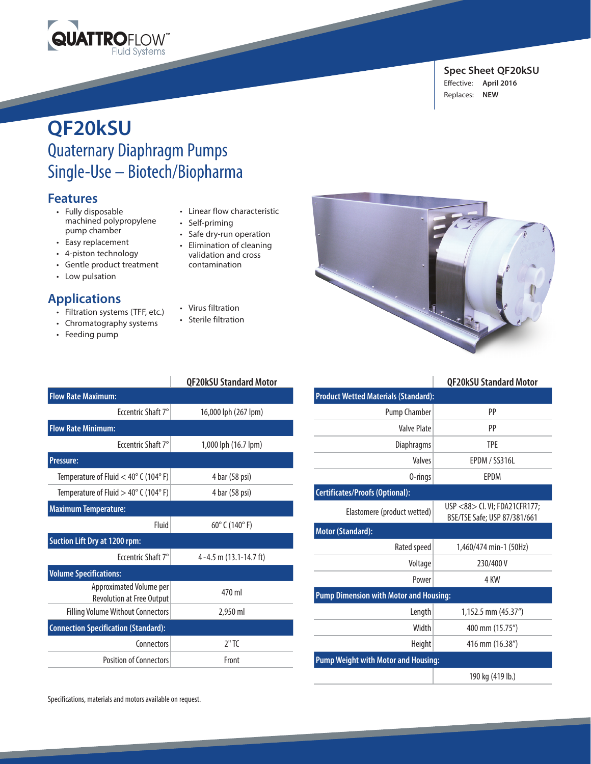

#### **Spec Sheet QF20kSU**  Effective: **April 2016** Replaces: **NEW**

# **QF20kSU** Quaternary Diaphragm Pumps Single-Use – Biotech/Biopharma

### **Features**

- Fully disposable machined polypropylene pump chamber
- Easy replacement
- 4-piston technology
- Gentle product treatment
- Low pulsation

## **Applications**

- Filtration systems (TFF, etc.)
- Chromatography systems
- Feeding pump
- Linear flow characteristic
- Self-priming
- Safe dry-run operation
- Elimination of cleaning

validation and cross contamination

- Virus filtration
- Sterile filtration

|                                                             | <b>QF20kSU Standard Motor</b>     |
|-------------------------------------------------------------|-----------------------------------|
| <b>Flow Rate Maximum:</b>                                   |                                   |
| Freentric Shaft 7°                                          | 16,000 lph (267 lpm)              |
| <b>Flow Rate Minimum:</b>                                   |                                   |
| Freentric Shaft 7°                                          | 1,000 lph (16.7 lpm)              |
| <b>Pressure:</b>                                            |                                   |
| Temperature of Fluid $<$ 40 $^{\circ}$ C (104 $^{\circ}$ F) | 4 bar (58 psi)                    |
| Temperature of Fluid $>$ 40 $^{\circ}$ C (104 $^{\circ}$ F) | 4 bar (58 psi)                    |
| <b>Maximum Temperature:</b>                                 |                                   |
| Fluid                                                       | $60^{\circ}$ C (140 $^{\circ}$ F) |
| <b>Suction Lift Dry at 1200 rpm:</b>                        |                                   |
| Eccentric Shaft 7°                                          | 4 - 4.5 m (13.1-14.7 ft)          |
| <b>Volume Specifications:</b>                               |                                   |
| Approximated Volume per<br><b>Revolution at Free Output</b> | 470 ml                            |
| <b>Filling Volume Without Connectors</b>                    | 2,950 ml                          |
| <b>Connection Specification (Standard):</b>                 |                                   |
| Connectors                                                  | 2"TC                              |
| Position of Connectors                                      | Front                             |



|                                               | <b>QF20kSU Standard Motor</b>                                 |  |
|-----------------------------------------------|---------------------------------------------------------------|--|
| <b>Product Wetted Materials (Standard):</b>   |                                                               |  |
| <b>Pump Chamber</b>                           | PP                                                            |  |
| <b>Valve Plate</b>                            | PP                                                            |  |
| Diaphragms                                    | <b>TPF</b>                                                    |  |
| Valves                                        | EPDM / SS316L                                                 |  |
| 0-rings                                       | <b>FPDM</b>                                                   |  |
| <b>Certificates/Proofs (Optional):</b>        |                                                               |  |
| Elastomere (product wetted)                   | USP <88> Cl. VI; FDA21CFR177;<br>BSE/TSE Safe; USP 87/381/661 |  |
| <b>Motor (Standard):</b>                      |                                                               |  |
| Rated speed                                   | 1,460/474 min-1 (50Hz)                                        |  |
| Voltage                                       | 230/400 V                                                     |  |
| Power                                         | 4 KW                                                          |  |
| <b>Pump Dimension with Motor and Housing:</b> |                                                               |  |
| Length                                        | 1,152.5 mm (45.37")                                           |  |
| Width                                         | 400 mm (15.75")                                               |  |
| Height                                        | 416 mm (16.38")                                               |  |
| <b>Pump Weight with Motor and Housing:</b>    |                                                               |  |
|                                               | 190 kg (419 lb.)                                              |  |

Specifications, materials and motors available on request.